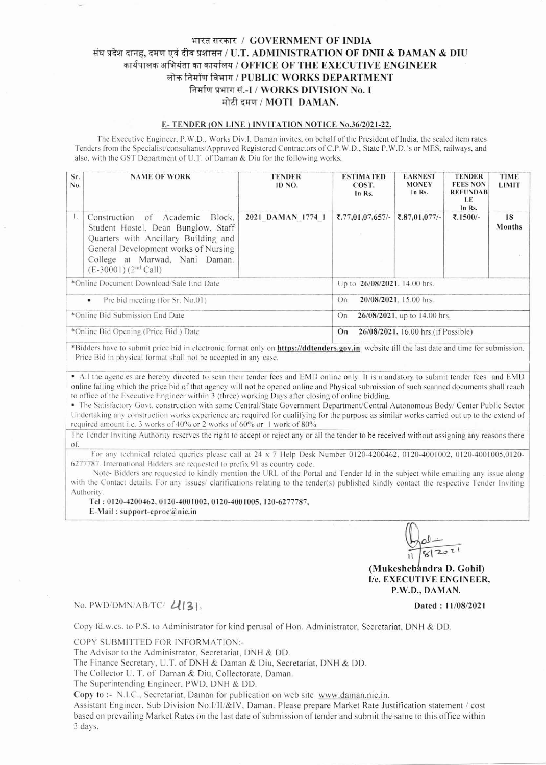## भारत सरकार / GOVERNMENT OF INDIA संघ प्रदेश दानह, दमण एवं दीव प्रशासन / U.T. ADMINISTRATION OF DNH & DAMAN & DIU कार्यपालक अभियंता का कार्यालय / OFFICE OF THE EXECUTIVE ENGINEER लोक निर्माण विभाग / PUBLIC WORKS DEPARTMENT निर्माण प्रभाग सं.-I / WORKS DIVISION No. I मोटी दमण / MOTI DAMAN.

## E-TENDER (ON LINE) INVITATION NOTICE No.36/2021-22.

The Executive Engineer, P.W.D., Works Div.I. Daman invites, on behalf of the President of India, the sealed item rates Tenders from the Specialist/consultants/Approved Registered Contractors of C.P.W.D., State P.W.D.'s or MES, railways, and also, with the GST Department of U.T. of Daman & Diu for the following works.

| Sr.<br>No.                              | <b>NAME OF WORK</b>                                                                                                                                                                                                     | <b>TENDER</b><br>ID NO. | <b>ESTIMATED</b><br>COST.<br>In Rs.        | <b>EARNEST</b><br><b>MONEY</b><br>In Rs. | <b>TENDER</b><br><b>FEES NON</b><br><b>REFUNDAB</b><br>LE.<br>In Rs. | TIME<br><b>LIMIT</b> |  |
|-----------------------------------------|-------------------------------------------------------------------------------------------------------------------------------------------------------------------------------------------------------------------------|-------------------------|--------------------------------------------|------------------------------------------|----------------------------------------------------------------------|----------------------|--|
| $\mathbf{1}_{\mathbf{2}}$               | Construction of Academic<br>Block,<br>Student Hostel, Dean Bunglow, Staff<br>Quarters with Ancillary Building and<br>General Development works of Nursing<br>College at Marwad, Nani Daman.<br>$(E-30001)$ $(2nd$ Call) | 2021 DAMAN 1774 1       | ₹.77,01,07,657/-                           | ₹.87,01,077/-                            | ₹.1500/-                                                             | 18<br>Months         |  |
| *Online Document Download/Sale End Date |                                                                                                                                                                                                                         |                         | Up to 26/08/2021, 14.00 hrs.               |                                          |                                                                      |                      |  |
| Pre bid meeting (for Sr. No.01)<br>۰    |                                                                                                                                                                                                                         |                         | 20/08/2021, 15.00 hrs.<br>On               |                                          |                                                                      |                      |  |
| *Online Bid Submission End Date         |                                                                                                                                                                                                                         |                         | 26/08/2021, up to 14.00 hrs.<br>On         |                                          |                                                                      |                      |  |
| *Online Bid Opening (Price Bid) Date    |                                                                                                                                                                                                                         |                         | 26/08/2021, 16.00 hrs. (if Possible)<br>On |                                          |                                                                      |                      |  |

\*Bidders have to submit price bid in electronic format only on https://ddtenders.gov.in website till the last date and time for submission. Price Bid in physical format shall not be accepted in any case.

• All the agencies are hereby directed to scan their tender fees and EMD online only. It is mandatory to submit tender fees and EMD online failing which the price bid of that agency will not be opened online and Physical submission of such scanned documents shall reach to office of the Executive Engineer within 3 (three) working Days after closing of online bidding.

• The Satisfactory Govt. construction with some Central/State Government Department/Central Autonomous Body/ Center Public Sector Undertaking any construction works experience are required for qualifying for the purpose as similar works carried out up to the extend of required amount i.e. 3 works of 40% or 2 works of 60% or 1 work of 80%.

The Tender Inviting Authority reserves the right to accept or reject any or all the tender to be received without assigning any reasons there  $\sigma$ f

For any technical related queries please call at  $24 \times 7$  Help Desk Number 0120-4200462, 0120-4001002, 0120-4001005,0120-6277787. International Bidders are requested to prefix 91 as country code.

Note-Bidders are requested to kindly mention the URL of the Portal and Tender Id in the subject while emailing any issue along with the Contact details. For any issues/ clarifications relating to the tender(s) published kindly contact the respective Tender Inviting Authority.

Tel: 0120-4200462, 0120-4001002, 0120-4001005, 120-6277787,

E-Mail: support-eproc@nic.in

(Mukeshchandra D. Gohil) I/c. EXECUTIVE ENGINEER, P.W.D., DAMAN.

Dated: 11/08/2021

## No. PWD/DMN/AB/TC/ $U(3)$ .

Copy fd.w.cs. to P.S. to Administrator for kind perusal of Hon. Administrator, Secretariat, DNH & DD.

COPY SUBMITTED FOR INFORMATION:-

The Advisor to the Administrator, Secretariat, DNH & DD.

The Finance Secretary, U.T. of DNH & Daman & Diu, Secretariat, DNH & DD.

The Collector U. T. of Daman & Diu, Collectorate, Daman.

The Superintending Engineer, PWD, DNH & DD.

Copy to :- N.I.C., Secretariat, Daman for publication on web site www.daman.nic.in.

Assistant Engineer, Sub Division No.I/II/&IV, Daman. Please prepare Market Rate Justification statement / cost based on prevailing Market Rates on the last date of submission of tender and submit the same to this office within 3 days.